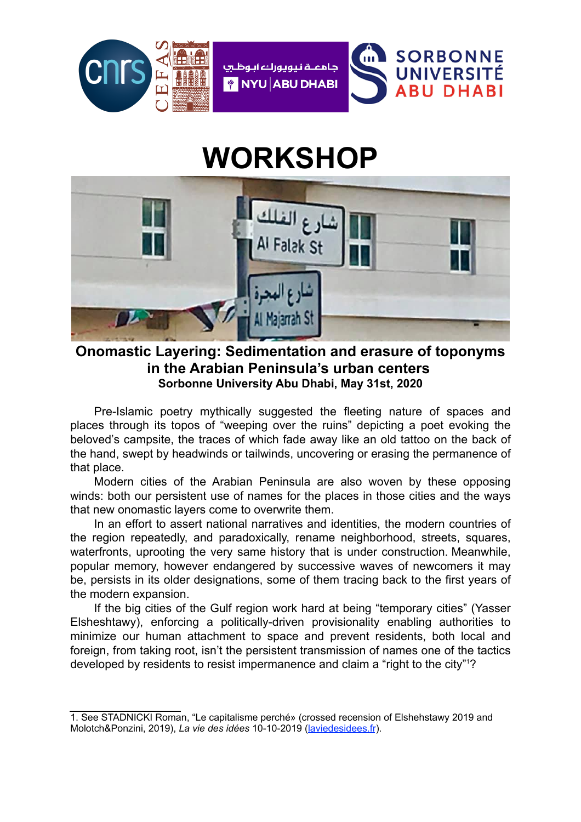

## **WORKSHOP**



**Onomastic Layering: Sedimentation and erasure of toponyms in the Arabian Peninsula's urban centers Sorbonne University Abu Dhabi, May 31st, 2020**

Pre-Islamic poetry mythically suggested the fleeting nature of spaces and places through its topos of "weeping over the ruins" depicting a poet evoking the beloved's campsite, the traces of which fade away like an old tattoo on the back of the hand, swept by headwinds or tailwinds, uncovering or erasing the permanence of that place.

Modern cities of the Arabian Peninsula are also woven by these opposing winds: both our persistent use of names for the places in those cities and the ways that new onomastic layers come to overwrite them.

In an effort to assert national narratives and identities, the modern countries of the region repeatedly, and paradoxically, rename neighborhood, streets, squares, waterfronts, uprooting the very same history that is under construction. Meanwhile, popular memory, however endangered by successive waves of newcomers it may be, persists in its older designations, some of them tracing back to the first years of the modern expansion.

If the big cities of the Gulf region work hard at being "temporary cities" (Yasser Elsheshtawy), enforcing a politically-driven provisionality enabling authorities to minimize our human attachment to space and prevent residents, both local and foreign, from taking root, isn't the persistent transmission of names one of the tactics developed by residents to resist impermanence and claim a "right to the city"[1](#page-0-0) ?

<span id="page-0-1"></span><span id="page-0-0"></span>[<sup>1.</sup>](#page-0-1) See STADNICKI Roman, "Le capitalisme perché» (crossed recension of Elshehstawy 2019 and Molotch&Ponzini, 2019), *La vie des idées* 10-10-2019 (laviedesidees.fr).